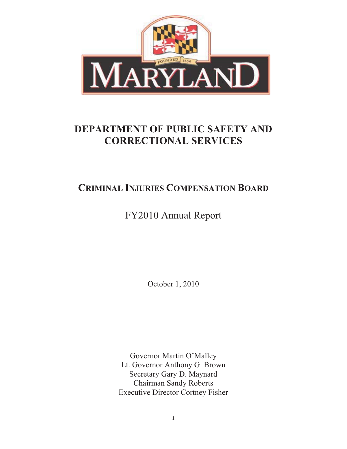

# **DEPARTMENT OF PUBLIC SAFETY AND CORRECTIONAL SERVICES**

# **CRIMINAL INJURIES COMPENSATION BOARD**

FY2010 Annual Report

October 1, 2010

Governor Martin O'Malley Lt. Governor Anthony G. Brown Secretary Gary D. Maynard Chairman Sandy Roberts Executive Director Cortney Fisher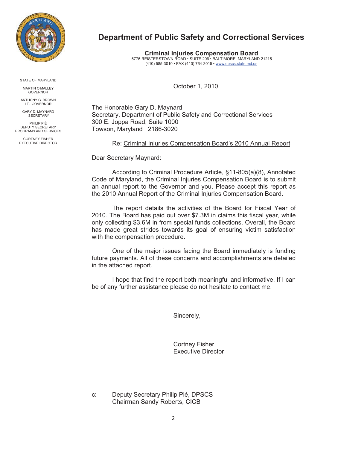

**Department of Public Safety and Correctional Services** 

**Criminal Injuries Compensation Board**  6776 REISTERSTOWN ROAD • SUITE 206 • BALTIMORE, MARYLAND 21215 (410) 585-3010 • FAX (410) 764-3015 • www.dpscs.state.md.us

October 1, 2010

The Honorable Gary D. Maynard Secretary, Department of Public Safety and Correctional Services 300 E. Joppa Road, Suite 1000 Towson, Maryland 2186-3020

Re: Criminal Injuries Compensation Board's 2010 Annual Report

Dear Secretary Maynard:

According to Criminal Procedure Article, §11-805(a)(8), Annotated Code of Maryland, the Criminal Injuries Compensation Board is to submit an annual report to the Governor and you. Please accept this report as the 2010 Annual Report of the Criminal Injuries Compensation Board.

The report details the activities of the Board for Fiscal Year of 2010. The Board has paid out over \$7.3M in claims this fiscal year, while only collecting \$3.6M in from special funds collections. Overall, the Board has made great strides towards its goal of ensuring victim satisfaction with the compensation procedure.

One of the major issues facing the Board immediately is funding future payments. All of these concerns and accomplishments are detailed in the attached report.

I hope that find the report both meaningful and informative. If I can be of any further assistance please do not hesitate to contact me.

Sincerely,

 Cortney Fisher Executive Director

c: Deputy Secretary Philip Pié, DPSCS Chairman Sandy Roberts, CICB

STATE OF MARYLAND

MARTIN O'MALLEY GOVERNOR

ANTHONY G. BROWN LT. GOVERNOR

GARY D. MAYNARD **SECRETARY** 

PHILIP PIÉ DEPUTY SECRETARY PROGRAMS AND SERVICES

CORTNEY FISHER EXECUTIVE DIRECTOR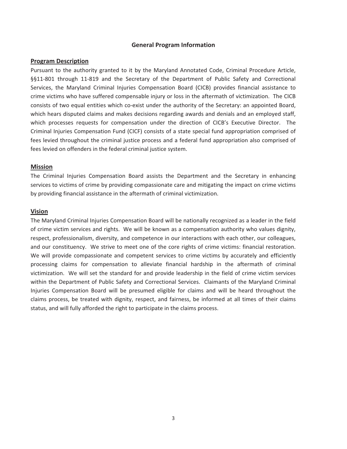#### **General Program Information**

#### **Program-Description**

Pursuant to the authority granted to it by the Maryland Annotated Code, Criminal Procedure Article, §§11-801 through 11-819 and the Secretary of the Department of Public Safety and Correctional Services, the Maryland Criminal Injuries Compensation Board (CICB) provides financial assistance to crime victims who have suffered compensable injury or loss in the aftermath of victimization. The CICB consists of two equal entities which co-exist under the authority of the Secretary: an appointed Board, which hears disputed claims and makes decisions regarding awards and denials and an employed staff, which processes requests for compensation under the direction of CICB's Executive Director. The Criminal Injuries Compensation Fund (CICF) consists of a state special fund appropriation comprised of fees levied throughout the criminal justice process and a federal fund appropriation also comprised of fees levied on offenders in the federal criminal justice system.

#### **Mission**

The Criminal Injuries Compensation Board assists the Department and the Secretary in enhancing services to victims of crime by providing compassionate care and mitigating the impact on crime victims by providing financial assistance in the aftermath of criminal victimization.

#### **Vision**

The Maryland Criminal Injuries Compensation Board will be nationally recognized as a leader in the field of crime victim services and rights. We will be known as a compensation authority who values dignity, respect, professionalism, diversity, and competence in our interactions with each other, our colleagues, and our constituency. We strive to meet one of the core rights of crime victims: financial restoration. We will provide compassionate and competent services to crime victims by accurately and efficiently processing claims for compensation to alleviate financial hardship in the aftermath of criminal victimization. We will set the standard for and provide leadership in the field of crime victim services within the Department of Public Safety and Correctional Services. Claimants of the Maryland Criminal Injuries Compensation Board will be presumed eligible for claims and will be heard throughout the claims process, be treated with dignity, respect, and fairness, be informed at all times of their claims status, and will fully afforded the right to participate in the claims process.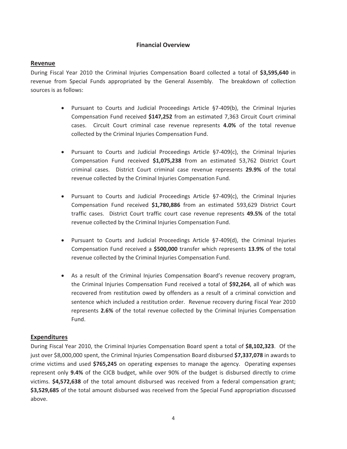## **Financial Overview**

#### **Revenue**

During Fiscal Year 2010 the Criminal Injuries Compensation Board collected a total of \$3,595,640 in revenue from Special Funds appropriated by the General Assembly. The breakdown of collection sources is as follows:

- . Pursuant to Courts and Judicial Proceedings Article §7-409(b), the Criminal Injuries Compensation Fund received \$147,252 from an estimated 7,363 Circuit Court criminal cases. Circuit Court criminal case revenue represents 4.0% of the total revenue collected by the Criminal Injuries Compensation Fund.
- Pursuant to Courts and Judicial Proceedings Article §7-409(c), the Criminal Injuries Compensation Fund received \$1,075,238 from an estimated 53,762 District Court criminal cases. District Court criminal case revenue represents 29.9% of the total revenue collected by the Criminal Injuries Compensation Fund.
- . Pursuant to Courts and Judicial Proceedings Article §7-409(c), the Criminal Injuries Compensation Fund received \$1,780,886 from an estimated 593,629 District Court traffic cases. District Court traffic court case revenue represents 49.5% of the total revenue collected by the Criminal Injuries Compensation Fund.
- . Pursuant to Courts and Judicial Proceedings Article §7-409(d), the Criminal Injuries Compensation Fund received a \$500,000 transfer which represents 13.9% of the total revenue collected by the Criminal Injuries Compensation Fund.
- As a result of the Criminal Injuries Compensation Board's revenue recovery program, the Criminal Injuries Compensation Fund received a total of \$92,264, all of which was recovered from restitution owed by offenders as a result of a criminal conviction and sentence which included a restitution order. Revenue recovery during Fiscal Year 2010 represents 2.6% of the total revenue collected by the Criminal Injuries Compensation Fund.-

#### **Expenditures**-

During Fiscal Year 2010, the Criminal Injuries Compensation Board spent a total of \$8,102,323. Of the just over \$8,000,000 spent, the Criminal Injuries Compensation Board disbursed \$7,337,078 in awards to crime victims and used \$765,245 on operating expenses to manage the agency. Operating expenses represent only 9.4% of the CICB budget, while over 90% of the budget is disbursed directly to crime victims. \$4,572,638 of the total amount disbursed was received from a federal compensation grant; \$3,529,685 of the total amount disbursed was received from the Special Fund appropriation discussed above.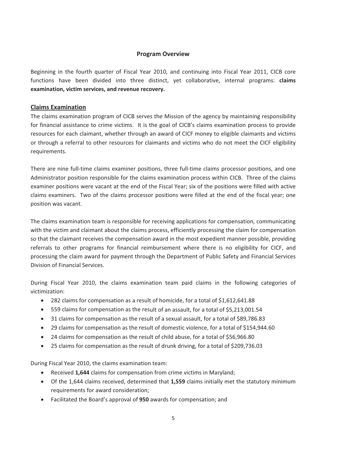#### **Program-Overview-**

Beginning in the fourth quarter of Fiscal Year 2010, and continuing into Fiscal Year 2011, CICB core functions have been divided into three distinct, yet collaborative, internal programs: claims **examination, victim services, and revenue recovery.** 

## **Claims Examination**

The claims examination program of CICB serves the Mission of the agency by maintaining responsibility for financial assistance to crime victims. It is the goal of CICB's claims examination process to provide resources for each claimant, whether through an award of CICF money to eligible claimants and victims or through a referral to other resources for claimants and victims who do not meet the CICF eligibility requirements.

There are nine full-time claims examiner positions, three full-time claims processor positions, and one Administrator position responsible for the claims examination process within CICB. Three of the claims examiner positions were vacant at the end of the Fiscal Year; six of the positions were filled with active claims examiners. Two of the claims processor positions were filled at the end of the fiscal year; one position was vacant.

The claims examination team is responsible for receiving applications for compensation, communicating with the victim and claimant about the claims process, efficiently processing the claim for compensation so that the claimant receives the compensation award in the most expedient manner possible, providing referrals to other programs for financial reimbursement where there is no eligibility for CICF, and processing the claim award for payment through the Department of Public Safety and Financial Services Division of Financial Services.

During Fiscal Year 2010, the claims examination team paid claims in the following categories of victimization:

- -• 282 claims for compensation as a result of homicide, for a total of \$1,612,641.88
- $\bullet$ • 559 claims for compensation as the result of an assault, for a total of \$5,213,001.54
- 31 claims for compensation as the result of a sexual assault, for a total of \$89,786.83
- 29 claims for compensation as the result of domestic violence, for a total of \$154,944.60
- 24 claims for compensation as the result of child abuse, for a total of \$56,966.80
- $\bullet$ • 25 claims for compensation as the result of drunk driving, for a total of \$209,736.03

During Fiscal Year 2010, the claims examination team:

- Received 1,644 claims for compensation from crime victims in Maryland;
- Of the 1,644 claims received, determined that 1,559 claims initially met the statutory minimum requirements for award consideration;
- Facilitated the Board's approval of 950 awards for compensation; and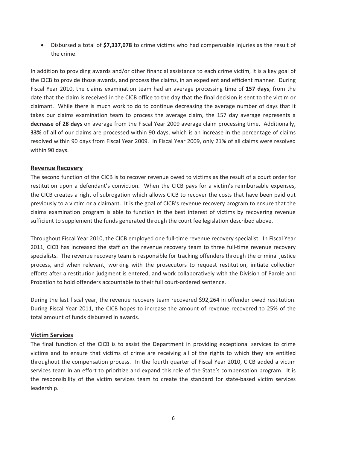• Disbursed a total of \$7,337,078 to crime victims who had compensable injuries as the result of the crime.

In addition to providing awards and/or other financial assistance to each crime victim, it is a key goal of the CICB to provide those awards, and process the claims, in an expedient and efficient manner. During Fiscal Year 2010, the claims examination team had an average processing time of 157 days, from the date that the claim is received in the CICB office to the day that the final decision is sent to the victim or claimant. While there is much work to do to continue decreasing the average number of days that it takes our claims examination team to process the average claim, the 157 day average represents a decrease of 28 days on average from the Fiscal Year 2009 average claim processing time. Additionally, 33% of all of our claims are processed within 90 days, which is an increase in the percentage of claims resolved within 90 days from Fiscal Year 2009. In Fiscal Year 2009, only 21% of all claims were resolved within 90 days.

#### **Revenue Recovery**

The second function of the CICB is to recover revenue owed to victims as the result of a court order for restitution upon a defendant's conviction. When the CICB pays for a victim's reimbursable expenses, the CICB creates a right of subrogation which allows CICB to recover the costs that have been paid out previously to a victim or a claimant. It is the goal of CICB's revenue recovery program to ensure that the claims examination program is able to function in the best interest of victims by recovering revenue sufficient to supplement the funds generated through the court fee legislation described above.

Throughout Fiscal Year 2010, the CICB employed one full-time revenue recovery specialist. In Fiscal Year 2011, CICB has increased the staff on the revenue recovery team to three full-time revenue recovery specialists. The revenue recovery team is responsible for tracking offenders through the criminal justice process, and when relevant, working with the prosecutors to request restitution, initiate collection efforts after a restitution judgment is entered, and work collaboratively with the Division of Parole and Probation to hold offenders accountable to their full court-ordered sentence.

During the last fiscal year, the revenue recovery team recovered \$92,264 in offender owed restitution. During Fiscal Year 2011, the CICB hopes to increase the amount of revenue recovered to 25% of the total amount of funds disbursed in awards.

#### **Victim-Services-**

The final function of the CICB is to assist the Department in providing exceptional services to crime victims and to ensure that victims of crime are receiving all of the rights to which they are entitled throughout the compensation process. In the fourth quarter of Fiscal Year 2010, CICB added a victim services team in an effort to prioritize and expand this role of the State's compensation program. It is the responsibility of the victim services team to create the standard for state-based victim services leadership.